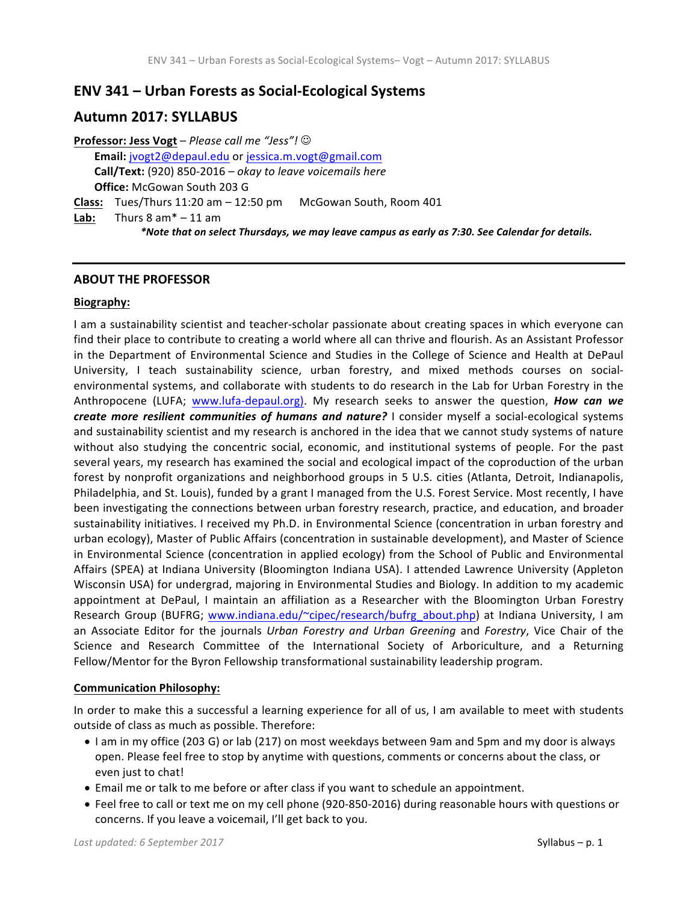# **ENV 341 – Urban Forests as Social-Ecological Systems**

# **Autumn 2017: SYLLABUS**

**Professor: Jess Vogt** – *Please call me "Jess"!*  $\odot$ Email: jvogt2@depaul.edu or jessica.m.vogt@gmail.com **Call/Text:** (920) 850-2016 *– okay to leave voicemails here* **Office:** McGowan South 203 G **Class:** Tues/Thurs 11:20 am – 12:50 pm McGowan South, Room 401 **Lab:** Thurs  $8 \text{ am}^* - 11 \text{ am}$ 

\*Note that on select Thursdays, we may leave campus as early as 7:30. See Calendar for details.

# **ABOUT THE PROFESSOR**

# **Biography:**

I am a sustainability scientist and teacher-scholar passionate about creating spaces in which everyone can find their place to contribute to creating a world where all can thrive and flourish. As an Assistant Professor in the Department of Environmental Science and Studies in the College of Science and Health at DePaul University, I teach sustainability science, urban forestry, and mixed methods courses on socialenvironmental systems, and collaborate with students to do research in the Lab for Urban Forestry in the Anthropocene (LUFA; www.lufa-depaul.org). My research seeks to answer the question, *How can we create more resilient communities of humans and nature?* I consider myself a social-ecological systems and sustainability scientist and my research is anchored in the idea that we cannot study systems of nature without also studying the concentric social, economic, and institutional systems of people. For the past several years, my research has examined the social and ecological impact of the coproduction of the urban forest by nonprofit organizations and neighborhood groups in 5 U.S. cities (Atlanta, Detroit, Indianapolis, Philadelphia, and St. Louis), funded by a grant I managed from the U.S. Forest Service. Most recently, I have been investigating the connections between urban forestry research, practice, and education, and broader sustainability initiatives. I received my Ph.D. in Environmental Science (concentration in urban forestry and urban ecology), Master of Public Affairs (concentration in sustainable development), and Master of Science in Environmental Science (concentration in applied ecology) from the School of Public and Environmental Affairs (SPEA) at Indiana University (Bloomington Indiana USA). I attended Lawrence University (Appleton Wisconsin USA) for undergrad, majoring in Environmental Studies and Biology. In addition to my academic appointment at DePaul, I maintain an affiliation as a Researcher with the Bloomington Urban Forestry Research Group (BUFRG; www.indiana.edu/~cipec/research/bufrg\_about.php) at Indiana University, I am an Associate Editor for the journals *Urban Forestry and Urban Greening* and *Forestry*, Vice Chair of the Science and Research Committee of the International Society of Arboriculture, and a Returning Fellow/Mentor for the Byron Fellowship transformational sustainability leadership program.

# **Communication Philosophy:**

In order to make this a successful a learning experience for all of us, I am available to meet with students outside of class as much as possible. Therefore:

- I am in my office (203 G) or lab (217) on most weekdays between 9am and 5pm and my door is always open. Please feel free to stop by anytime with questions, comments or concerns about the class, or even just to chat!
- Email me or talk to me before or after class if you want to schedule an appointment.
- Feel free to call or text me on my cell phone (920-850-2016) during reasonable hours with questions or concerns. If you leave a voicemail, I'll get back to you.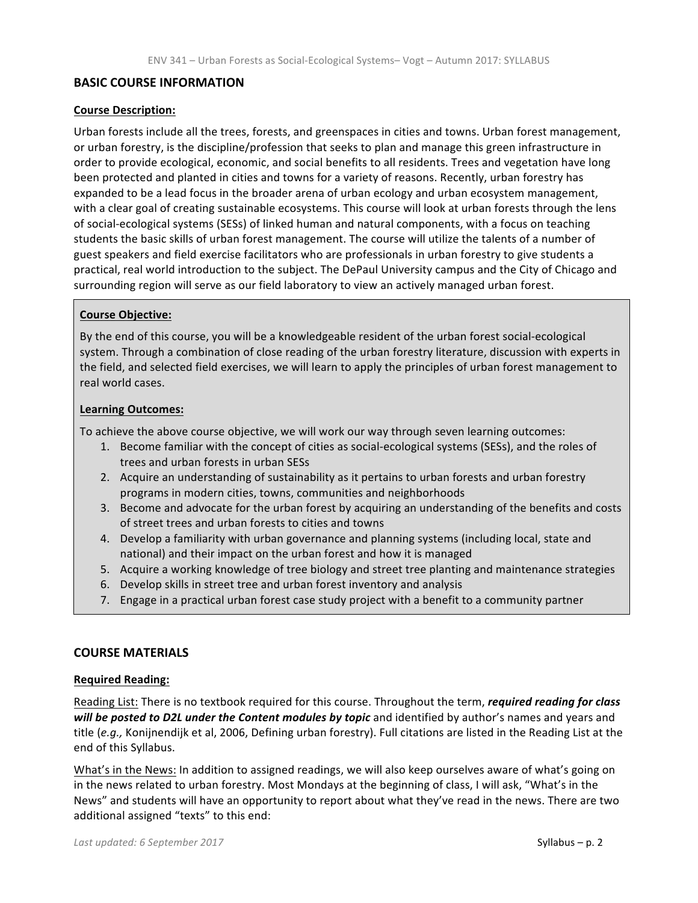# **BASIC COURSE INFORMATION**

# **Course Description:**

Urban forests include all the trees, forests, and greenspaces in cities and towns. Urban forest management, or urban forestry, is the discipline/profession that seeks to plan and manage this green infrastructure in order to provide ecological, economic, and social benefits to all residents. Trees and vegetation have long been protected and planted in cities and towns for a variety of reasons. Recently, urban forestry has expanded to be a lead focus in the broader arena of urban ecology and urban ecosystem management, with a clear goal of creating sustainable ecosystems. This course will look at urban forests through the lens of social-ecological systems (SESs) of linked human and natural components, with a focus on teaching students the basic skills of urban forest management. The course will utilize the talents of a number of guest speakers and field exercise facilitators who are professionals in urban forestry to give students a practical, real world introduction to the subject. The DePaul University campus and the City of Chicago and surrounding region will serve as our field laboratory to view an actively managed urban forest.

# **Course Objective:**

By the end of this course, you will be a knowledgeable resident of the urban forest social-ecological system. Through a combination of close reading of the urban forestry literature, discussion with experts in the field, and selected field exercises, we will learn to apply the principles of urban forest management to real world cases.

### **Learning Outcomes:**

To achieve the above course objective, we will work our way through seven learning outcomes:

- 1. Become familiar with the concept of cities as social-ecological systems (SESs), and the roles of trees and urban forests in urban SESs
- 2. Acquire an understanding of sustainability as it pertains to urban forests and urban forestry programs in modern cities, towns, communities and neighborhoods
- 3. Become and advocate for the urban forest by acquiring an understanding of the benefits and costs of street trees and urban forests to cities and towns
- 4. Develop a familiarity with urban governance and planning systems (including local, state and national) and their impact on the urban forest and how it is managed
- 5. Acquire a working knowledge of tree biology and street tree planting and maintenance strategies
- 6. Develop skills in street tree and urban forest inventory and analysis
- 7. Engage in a practical urban forest case study project with a benefit to a community partner

# **COURSE MATERIALS**

### **Required Reading:**

Reading List: There is no textbook required for this course. Throughout the term, *required reading for class will be posted to D2L under the Content modules by topic* and identified by author's names and years and title (e.g., Konijnendijk et al, 2006, Defining urban forestry). Full citations are listed in the Reading List at the end of this Syllabus.

What's in the News: In addition to assigned readings, we will also keep ourselves aware of what's going on in the news related to urban forestry. Most Mondays at the beginning of class, I will ask, "What's in the News" and students will have an opportunity to report about what they've read in the news. There are two additional assigned "texts" to this end: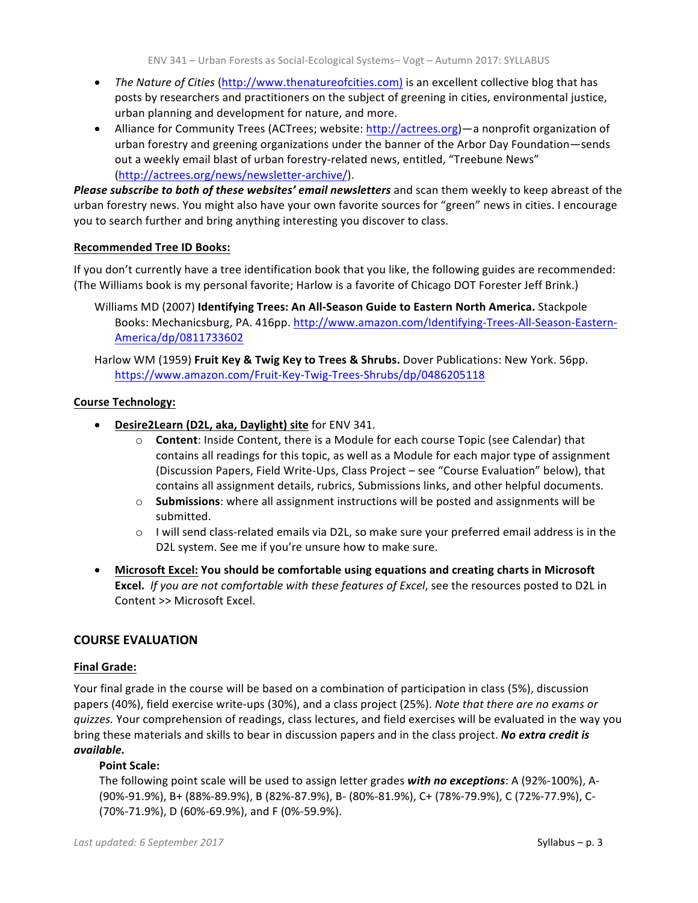- The Nature of Cities (http://www.thenatureofcities.com) is an excellent collective blog that has posts by researchers and practitioners on the subject of greening in cities, environmental justice, urban planning and development for nature, and more.
- Alliance for Community Trees (ACTrees; website: http://actrees.org)—a nonprofit organization of urban forestry and greening organizations under the banner of the Arbor Day Foundation—sends out a weekly email blast of urban forestry-related news, entitled, "Treebune News" (http://actrees.org/news/newsletter-archive/).

**Please subscribe to both of these websites' email newsletters** and scan them weekly to keep abreast of the urban forestry news. You might also have your own favorite sources for "green" news in cities. I encourage you to search further and bring anything interesting you discover to class.

# **Recommended Tree ID Books:**

If you don't currently have a tree identification book that you like, the following guides are recommended: (The Williams book is my personal favorite; Harlow is a favorite of Chicago DOT Forester Jeff Brink.)

Williams MD (2007) Identifying Trees: An All-Season Guide to Eastern North America. Stackpole Books: Mechanicsburg, PA. 416pp. http://www.amazon.com/Identifying-Trees-All-Season-Eastern-America/dp/0811733602

Harlow WM (1959) Fruit Key & Twig Key to Trees & Shrubs. Dover Publications: New York. 56pp. https://www.amazon.com/Fruit-Key-Twig-Trees-Shrubs/dp/0486205118

# **Course Technology:**

- **•** Desire2Learn (D2L, aka, Daylight) site for ENV 341.
	- $\circ$  **Content**: Inside Content, there is a Module for each course Topic (see Calendar) that contains all readings for this topic, as well as a Module for each major type of assignment (Discussion Papers, Field Write-Ups, Class Project - see "Course Evaluation" below), that contains all assignment details, rubrics, Submissions links, and other helpful documents.
	- o Submissions: where all assignment instructions will be posted and assignments will be submitted.
	- $\circ$  I will send class-related emails via D2L, so make sure your preferred email address is in the D2L system. See me if you're unsure how to make sure.
- Microsoft Excel: You should be comfortable using equations and creating charts in Microsoft **Excel.** *If you are not comfortable with these features of Excel*, see the resources posted to D2L in Content >> Microsoft Excel.

# **COURSE EVALUATION**

# **Final Grade:**

Your final grade in the course will be based on a combination of participation in class (5%), discussion papers (40%), field exercise write-ups (30%), and a class project (25%). *Note that there are no exams or quizzes*. Your comprehension of readings, class lectures, and field exercises will be evaluated in the way you bring these materials and skills to bear in discussion papers and in the class project. *No extra credit is available.*

# **Point Scale:**

The following point scale will be used to assign letter grades *with no exceptions*: A (92%-100%), A-(90%-91.9%), B+ (88%-89.9%), B (82%-87.9%), B- (80%-81.9%), C+ (78%-79.9%), C (72%-77.9%), C-(70%-71.9%), D (60%-69.9%), and F (0%-59.9%).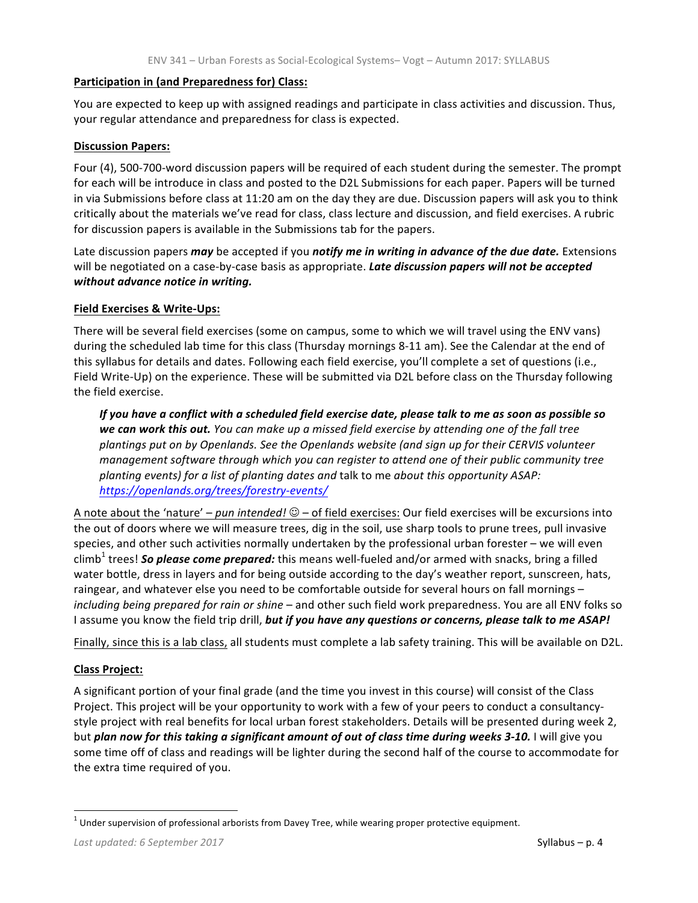# **Participation in (and Preparedness for) Class:**

You are expected to keep up with assigned readings and participate in class activities and discussion. Thus, your regular attendance and preparedness for class is expected.

# **Discussion Papers:**

Four (4), 500-700-word discussion papers will be required of each student during the semester. The prompt for each will be introduce in class and posted to the D2L Submissions for each paper. Papers will be turned in via Submissions before class at 11:20 am on the day they are due. Discussion papers will ask you to think critically about the materials we've read for class, class lecture and discussion, and field exercises. A rubric for discussion papers is available in the Submissions tab for the papers.

Late discussion papers *may* be accepted if you *notify me in writing in advance of the due date.* Extensions will be negotiated on a case-by-case basis as appropriate. Late discussion papers will not be accepted *without advance notice in writing.*

# **Field Exercises & Write-Ups:**

There will be several field exercises (some on campus, some to which we will travel using the ENV vans) during the scheduled lab time for this class (Thursday mornings 8-11 am). See the Calendar at the end of this syllabus for details and dates. Following each field exercise, you'll complete a set of questions (i.e., Field Write-Up) on the experience. These will be submitted via D2L before class on the Thursday following the field exercise.

*If* you have a conflict with a scheduled field exercise date, please talk to me as soon as possible so **we can work this out.** You can make up a missed field exercise by attending one of the fall tree *plantings put on by Openlands. See the Openlands website (and sign up for their CERVIS volunteer management software through which you can register to attend one of their public community tree planting events) for a list of planting dates and talk to me about this opportunity ASAP: https://openlands.org/trees/forestry-events/*

A note about the 'nature'  $-$  *pun intended!*  $\odot$  – of field exercises: Our field exercises will be excursions into the out of doors where we will measure trees, dig in the soil, use sharp tools to prune trees, pull invasive species, and other such activities normally undertaken by the professional urban forester – we will even climb<sup>1</sup> trees! So please come prepared: this means well-fueled and/or armed with snacks, bring a filled water bottle, dress in layers and for being outside according to the day's weather report, sunscreen, hats, raingear, and whatever else you need to be comfortable outside for several hours on fall mornings *including being prepared for rain or shine* – and other such field work preparedness. You are all ENV folks so I assume you know the field trip drill, but if you have any questions or concerns, please talk to me ASAP!

Finally, since this is a lab class, all students must complete a lab safety training. This will be available on D2L.

# **Class Project:**

A significant portion of your final grade (and the time you invest in this course) will consist of the Class Project. This project will be your opportunity to work with a few of your peers to conduct a consultancystyle project with real benefits for local urban forest stakeholders. Details will be presented during week 2, but **plan now for this taking a significant amount of out of class time during weeks 3-10.** I will give you some time off of class and readings will be lighter during the second half of the course to accommodate for the extra time required of you.

 $1$  Under supervision of professional arborists from Davey Tree, while wearing proper protective equipment.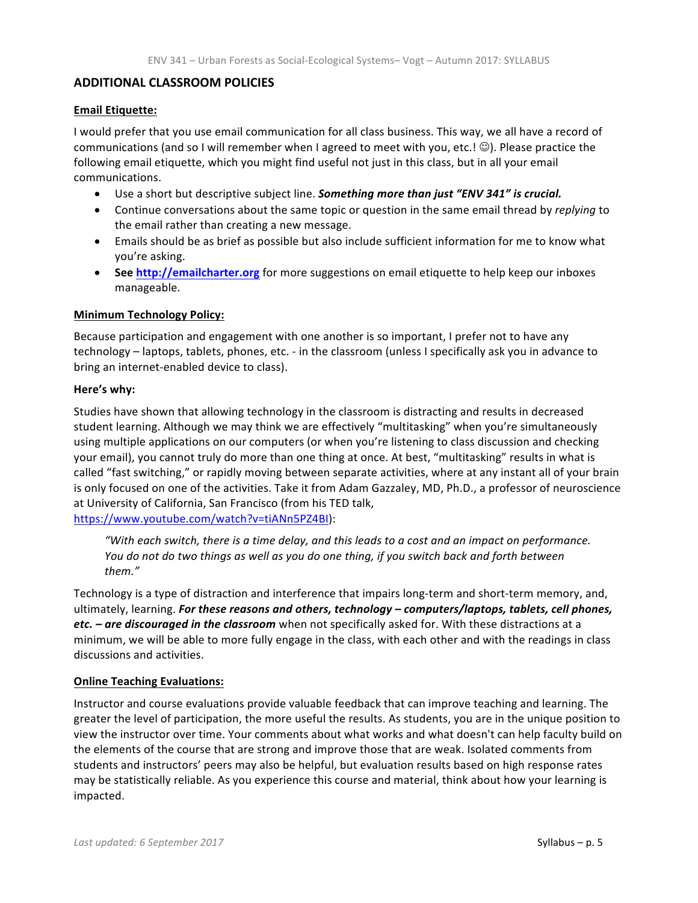# **ADDITIONAL CLASSROOM POLICIES**

### **Email Etiquette:**

I would prefer that you use email communication for all class business. This way, we all have a record of communications (and so I will remember when I agreed to meet with you, etc.!  $\circledcirc$ ). Please practice the following email etiquette, which you might find useful not just in this class, but in all your email communications.

- Use a short but descriptive subject line. **Something more than just "ENV 341" is crucial.**
- Continue conversations about the same topic or question in the same email thread by *replying* to the email rather than creating a new message.
- Emails should be as brief as possible but also include sufficient information for me to know what you're asking.
- See http://emailcharter.org for more suggestions on email etiquette to help keep our inboxes manageable.

### **Minimum Technology Policy:**

Because participation and engagement with one another is so important, I prefer not to have any technology – laptops, tablets, phones, etc. - in the classroom (unless I specifically ask you in advance to bring an internet-enabled device to class).

### **Here's why:**

Studies have shown that allowing technology in the classroom is distracting and results in decreased student learning. Although we may think we are effectively "multitasking" when you're simultaneously using multiple applications on our computers (or when you're listening to class discussion and checking your email), you cannot truly do more than one thing at once. At best, "multitasking" results in what is called "fast switching," or rapidly moving between separate activities, where at any instant all of your brain is only focused on one of the activities. Take it from Adam Gazzaley, MD, Ph.D., a professor of neuroscience at University of California, San Francisco (from his TED talk, https://www.youtube.com/watch?v=tiANn5PZ4BI): 

*"With* each switch, there is a time delay, and this leads to a cost and an impact on performance. *You* do not do two things as well as you do one thing, if you switch back and forth between *them."*

Technology is a type of distraction and interference that impairs long-term and short-term memory, and, ultimately, learning. *For these reasons and others, technology – computers/laptops, tablets, cell phones, etc.* – are discouraged in the classroom when not specifically asked for. With these distractions at a minimum, we will be able to more fully engage in the class, with each other and with the readings in class discussions and activities.

### **Online Teaching Evaluations:**

Instructor and course evaluations provide valuable feedback that can improve teaching and learning. The greater the level of participation, the more useful the results. As students, you are in the unique position to view the instructor over time. Your comments about what works and what doesn't can help faculty build on the elements of the course that are strong and improve those that are weak. Isolated comments from students and instructors' peers may also be helpful, but evaluation results based on high response rates may be statistically reliable. As you experience this course and material, think about how your learning is impacted.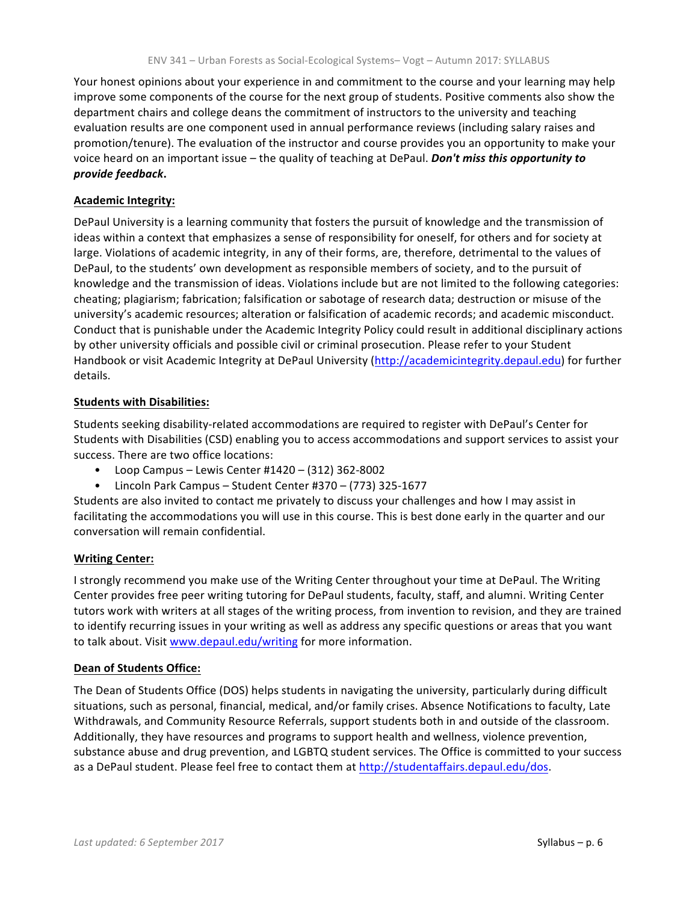Your honest opinions about your experience in and commitment to the course and your learning may help improve some components of the course for the next group of students. Positive comments also show the department chairs and college deans the commitment of instructors to the university and teaching evaluation results are one component used in annual performance reviews (including salary raises and promotion/tenure). The evaluation of the instructor and course provides you an opportunity to make your voice heard on an important issue – the quality of teaching at DePaul. *Don't miss this opportunity to provide feedback***.**

# **Academic Integrity:**

DePaul University is a learning community that fosters the pursuit of knowledge and the transmission of ideas within a context that emphasizes a sense of responsibility for oneself, for others and for society at large. Violations of academic integrity, in any of their forms, are, therefore, detrimental to the values of DePaul, to the students' own development as responsible members of society, and to the pursuit of knowledge and the transmission of ideas. Violations include but are not limited to the following categories: cheating; plagiarism; fabrication; falsification or sabotage of research data; destruction or misuse of the university's academic resources; alteration or falsification of academic records; and academic misconduct. Conduct that is punishable under the Academic Integrity Policy could result in additional disciplinary actions by other university officials and possible civil or criminal prosecution. Please refer to your Student Handbook or visit Academic Integrity at DePaul University (http://academicintegrity.depaul.edu) for further details.

# **Students with Disabilities:**

Students seeking disability-related accommodations are required to register with DePaul's Center for Students with Disabilities (CSD) enabling you to access accommodations and support services to assist your success. There are two office locations:

- Loop Campus Lewis Center  $#1420 (312) 362-8002$
- Lincoln Park Campus Student Center #370 (773) 325-1677

Students are also invited to contact me privately to discuss your challenges and how I may assist in facilitating the accommodations you will use in this course. This is best done early in the quarter and our conversation will remain confidential.

# **Writing Center:**

I strongly recommend you make use of the Writing Center throughout your time at DePaul. The Writing Center provides free peer writing tutoring for DePaul students, faculty, staff, and alumni. Writing Center tutors work with writers at all stages of the writing process, from invention to revision, and they are trained to identify recurring issues in your writing as well as address any specific questions or areas that you want to talk about. Visit www.depaul.edu/writing for more information.

# **Dean of Students Office:**

The Dean of Students Office (DOS) helps students in navigating the university, particularly during difficult situations, such as personal, financial, medical, and/or family crises. Absence Notifications to faculty, Late Withdrawals, and Community Resource Referrals, support students both in and outside of the classroom. Additionally, they have resources and programs to support health and wellness, violence prevention, substance abuse and drug prevention, and LGBTQ student services. The Office is committed to your success as a DePaul student. Please feel free to contact them at http://studentaffairs.depaul.edu/dos.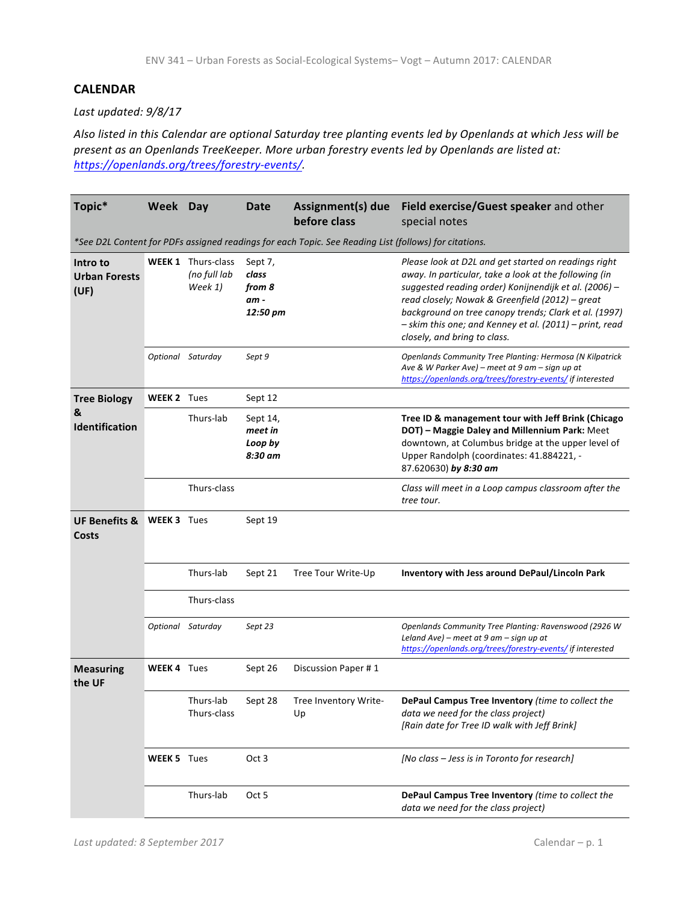# **CALENDAR**

Last updated:  $9/8/17$ 

Also listed in this Calendar are optional Saturday tree planting events led by Openlands at which Jess will be present as an Openlands TreeKeeper. More urban forestry events led by Openlands are listed at: *https://openlands.org/trees/forestry-events/.* 

| Topic*                                                                                                | Week Day           |                                                      | <b>Date</b>                                      | Assignment(s) due<br>before class | Field exercise/Guest speaker and other<br>special notes                                                                                                                                                                                                                                                                                                                       |  |  |  |  |
|-------------------------------------------------------------------------------------------------------|--------------------|------------------------------------------------------|--------------------------------------------------|-----------------------------------|-------------------------------------------------------------------------------------------------------------------------------------------------------------------------------------------------------------------------------------------------------------------------------------------------------------------------------------------------------------------------------|--|--|--|--|
| *See D2L Content for PDFs assigned readings for each Topic. See Reading List (follows) for citations. |                    |                                                      |                                                  |                                   |                                                                                                                                                                                                                                                                                                                                                                               |  |  |  |  |
| Intro to<br><b>Urban Forests</b><br>(UF)                                                              |                    | <b>WEEK 1</b> Thurs-class<br>(no full lab<br>Week 1) | Sept 7,<br>class<br>from 8<br>$am -$<br>12:50 pm |                                   | Please look at D2L and get started on readings right<br>away. In particular, take a look at the following (in<br>suggested reading order) Konijnendijk et al. (2006) -<br>read closely; Nowak & Greenfield (2012) - great<br>background on tree canopy trends; Clark et al. (1997)<br>- skim this one; and Kenney et al. (2011) - print, read<br>closely, and bring to class. |  |  |  |  |
|                                                                                                       |                    | Optional Saturday                                    | Sept 9                                           |                                   | Openlands Community Tree Planting: Hermosa (N Kilpatrick<br>Ave & W Parker Ave) - meet at 9 am - sign up at<br>https://openlands.org/trees/forestry-events/ if interested                                                                                                                                                                                                     |  |  |  |  |
| <b>Tree Biology</b>                                                                                   | <b>WEEK 2 Tues</b> |                                                      | Sept 12                                          |                                   |                                                                                                                                                                                                                                                                                                                                                                               |  |  |  |  |
| &<br><b>Identification</b>                                                                            |                    | Thurs-lab                                            | Sept 14,<br>meet in<br>Loop by<br>$8:30$ am      |                                   | Tree ID & management tour with Jeff Brink (Chicago<br>DOT) - Maggie Daley and Millennium Park: Meet<br>downtown, at Columbus bridge at the upper level of<br>Upper Randolph (coordinates: 41.884221, -<br>87.620630) by 8:30 am                                                                                                                                               |  |  |  |  |
|                                                                                                       |                    | Thurs-class                                          |                                                  |                                   | Class will meet in a Loop campus classroom after the<br>tree tour.                                                                                                                                                                                                                                                                                                            |  |  |  |  |
| <b>UF Benefits &amp;</b><br>Costs                                                                     | <b>WEEK 3</b> Tues |                                                      | Sept 19                                          |                                   |                                                                                                                                                                                                                                                                                                                                                                               |  |  |  |  |
|                                                                                                       |                    | Thurs-lab                                            | Sept 21                                          | Tree Tour Write-Up                | Inventory with Jess around DePaul/Lincoln Park                                                                                                                                                                                                                                                                                                                                |  |  |  |  |
|                                                                                                       |                    | Thurs-class                                          |                                                  |                                   |                                                                                                                                                                                                                                                                                                                                                                               |  |  |  |  |
|                                                                                                       |                    | Optional Saturday                                    | Sept 23                                          |                                   | Openlands Community Tree Planting: Ravenswood (2926 W<br>Leland Ave) – meet at 9 am – sign up at<br>https://openlands.org/trees/forestry-events/ if interested                                                                                                                                                                                                                |  |  |  |  |
| <b>Measuring</b><br>the UF                                                                            | <b>WEEK 4 Tues</b> |                                                      | Sept 26                                          | Discussion Paper #1               |                                                                                                                                                                                                                                                                                                                                                                               |  |  |  |  |
|                                                                                                       |                    | Thurs-lab<br>Thurs-class                             | Sept 28                                          | Tree Inventory Write-<br>Up       | DePaul Campus Tree Inventory (time to collect the<br>data we need for the class project)<br>[Rain date for Tree ID walk with Jeff Brink]                                                                                                                                                                                                                                      |  |  |  |  |
|                                                                                                       | <b>WEEK 5 Tues</b> |                                                      | Oct 3                                            |                                   | [No class - Jess is in Toronto for research]                                                                                                                                                                                                                                                                                                                                  |  |  |  |  |
|                                                                                                       |                    | Thurs-lab                                            | Oct 5                                            |                                   | DePaul Campus Tree Inventory (time to collect the<br>data we need for the class project)                                                                                                                                                                                                                                                                                      |  |  |  |  |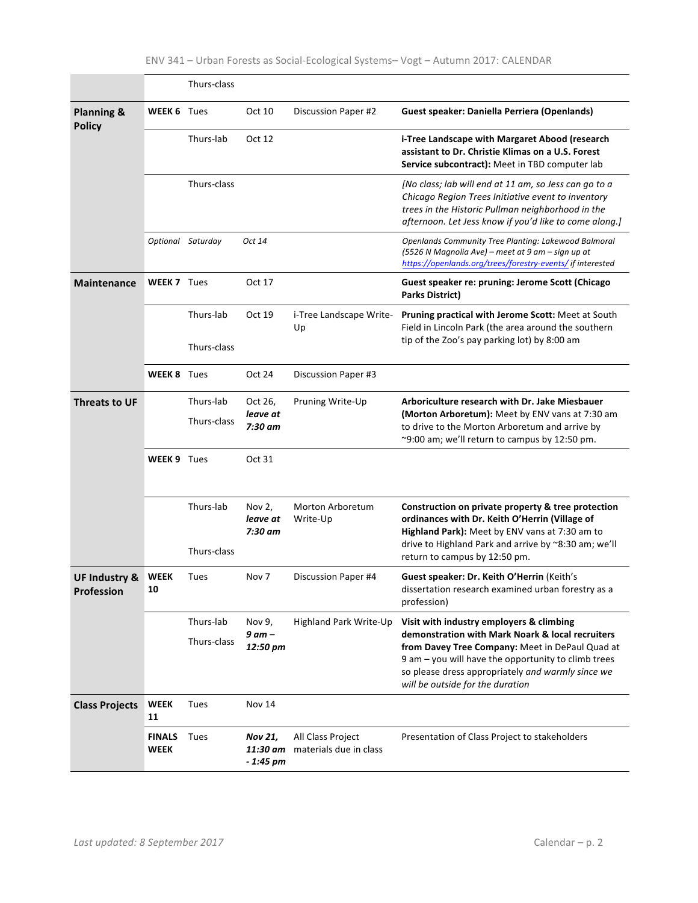|                                        |                              | Thurs-class              |                                   |                                             |                                                                                                                                                                                                                                                     |
|----------------------------------------|------------------------------|--------------------------|-----------------------------------|---------------------------------------------|-----------------------------------------------------------------------------------------------------------------------------------------------------------------------------------------------------------------------------------------------------|
| <b>Planning &amp;</b><br><b>Policy</b> | <b>WEEK 6 Tues</b>           |                          | Oct 10                            | Discussion Paper #2                         | <b>Guest speaker: Daniella Perriera (Openlands)</b>                                                                                                                                                                                                 |
|                                        |                              | Thurs-lab                | Oct 12                            |                                             | i-Tree Landscape with Margaret Abood (research<br>assistant to Dr. Christie Klimas on a U.S. Forest<br>Service subcontract): Meet in TBD computer lab                                                                                               |
|                                        |                              | Thurs-class              |                                   |                                             | [No class; lab will end at 11 am, so Jess can go to a<br>Chicago Region Trees Initiative event to inventory<br>trees in the Historic Pullman neighborhood in the<br>afternoon. Let Jess know if you'd like to come along.]                          |
|                                        |                              | Optional Saturday        | Oct 14                            |                                             | <b>Openlands Community Tree Planting: Lakewood Balmoral</b><br>(5526 N Magnolia Ave) - meet at 9 am - sign up at<br>https://openlands.org/trees/forestry-events/ if interested                                                                      |
| <b>Maintenance</b>                     | <b>WEEK 7 Tues</b>           |                          | Oct 17                            |                                             | Guest speaker re: pruning: Jerome Scott (Chicago<br><b>Parks District)</b>                                                                                                                                                                          |
|                                        |                              | Thurs-lab                | Oct 19                            | i-Tree Landscape Write-<br>Up               | Pruning practical with Jerome Scott: Meet at South<br>Field in Lincoln Park (the area around the southern                                                                                                                                           |
|                                        |                              | Thurs-class              |                                   |                                             | tip of the Zoo's pay parking lot) by 8:00 am                                                                                                                                                                                                        |
|                                        | <b>WEEK 8 Tues</b>           |                          | Oct 24                            | Discussion Paper #3                         |                                                                                                                                                                                                                                                     |
| <b>Threats to UF</b>                   |                              | Thurs-lab<br>Thurs-class | Oct 26,<br>leave at<br>$7:30$ am  | Pruning Write-Up                            | Arboriculture research with Dr. Jake Miesbauer<br>(Morton Arboretum): Meet by ENV vans at 7:30 am<br>to drive to the Morton Arboretum and arrive by<br>~9:00 am; we'll return to campus by 12:50 pm.                                                |
|                                        | <b>WEEK 9 Tues</b>           |                          | Oct 31                            |                                             |                                                                                                                                                                                                                                                     |
|                                        |                              | Thurs-lab                | Nov 2,<br>leave at<br>7:30 am     | <b>Morton Arboretum</b><br>Write-Up         | Construction on private property & tree protection<br>ordinances with Dr. Keith O'Herrin (Village of<br>Highland Park): Meet by ENV vans at 7:30 am to<br>drive to Highland Park and arrive by ~8:30 am; we'll                                      |
|                                        |                              | Thurs-class              |                                   |                                             | return to campus by 12:50 pm.                                                                                                                                                                                                                       |
| <b>UF Industry &amp;</b><br>Profession | WEEK<br>10                   | Tues                     | Nov 7                             | Discussion Paper #4                         | Guest speaker: Dr. Keith O'Herrin (Keith's<br>dissertation research examined urban forestry as a<br>profession)                                                                                                                                     |
|                                        |                              | Thurs-lab                | Nov 9,                            | Highland Park Write-Up                      | Visit with industry employers & climbing                                                                                                                                                                                                            |
|                                        |                              | Thurs-class              | $9$ am $-$<br>12:50 pm            |                                             | demonstration with Mark Noark & local recruiters<br>from Davey Tree Company: Meet in DePaul Quad at<br>9 am - you will have the opportunity to climb trees<br>so please dress appropriately and warmly since we<br>will be outside for the duration |
| <b>Class Projects</b>                  | WEEK<br>11                   | Tues                     | Nov 14                            |                                             |                                                                                                                                                                                                                                                     |
|                                        | <b>FINALS</b><br><b>WEEK</b> | Tues                     | Nov 21,<br>11:30 am<br>$-1:45$ pm | All Class Project<br>materials due in class | Presentation of Class Project to stakeholders                                                                                                                                                                                                       |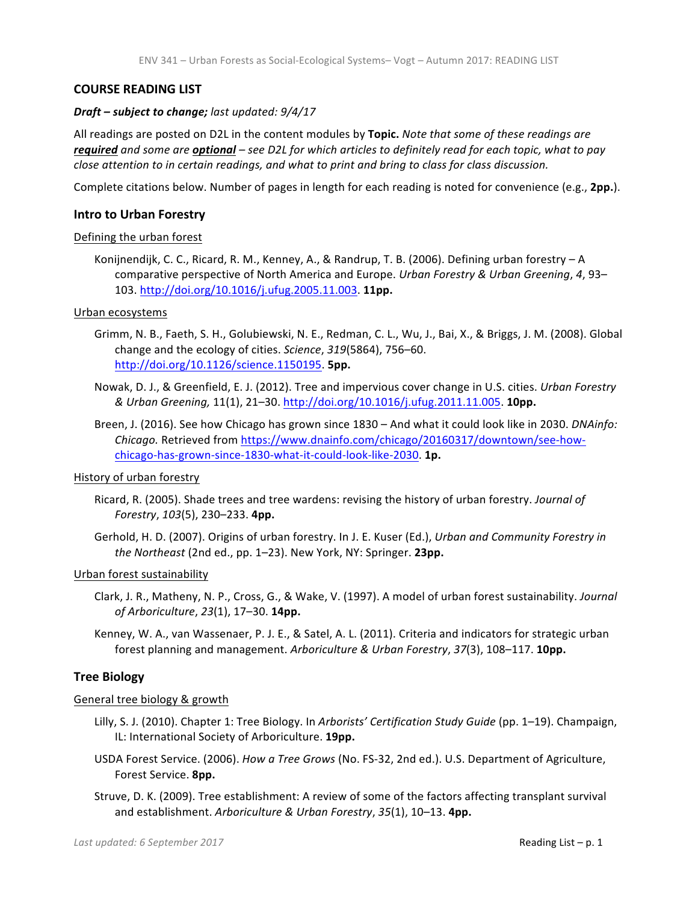# **COURSE READING LIST**

### *Draft – subject to change; last updated: 9/4/17*

All readings are posted on D2L in the content modules by **Topic.** *Note that some of these readings are required* and some are **optional** – see D2L for which articles to definitely read for each topic, what to pay *close attention to in certain readings, and what to print and bring to class for class discussion.*

Complete citations below. Number of pages in length for each reading is noted for convenience (e.g., 2pp.).

### **Intro to Urban Forestry**

#### Defining the urban forest

Konijnendijk, C. C., Ricard, R. M., Kenney, A., & Randrup, T. B. (2006). Defining urban forestry - A comparative perspective of North America and Europe. *Urban Forestry & Urban Greening*, 4, 93– 103. http://doi.org/10.1016/j.ufug.2005.11.003. **11pp.**

#### Urban ecosystems

- Grimm, N. B., Faeth, S. H., Golubiewski, N. E., Redman, C. L., Wu, J., Bai, X., & Briggs, J. M. (2008). Global change and the ecology of cities. *Science*, 319(5864), 756–60. http://doi.org/10.1126/science.1150195. **5pp.**
- Nowak, D. J., & Greenfield, E. J. (2012). Tree and impervious cover change in U.S. cities. *Urban Forestry & Urban Greening,* 11(1), 21–30. http://doi.org/10.1016/j.ufug.2011.11.005. **10pp.**
- Breen, J. (2016). See how Chicago has grown since 1830 And what it could look like in 2030. *DNAinfo:* Chicago. Retrieved from https://www.dnainfo.com/chicago/20160317/downtown/see-howchicago-has-grown-since-1830-what-it-could-look-like-2030. **1p.**

#### History of urban forestry

- Ricard, R. (2005). Shade trees and tree wardens: revising the history of urban forestry. *Journal of Forestry*, *103*(5), 230–233. **4pp.**
- Gerhold, H. D. (2007). Origins of urban forestry. In J. E. Kuser (Ed.), *Urban and Community Forestry in the Northeast* (2nd ed., pp. 1–23). New York, NY: Springer. 23pp.

#### Urban forest sustainability

- Clark, J. R., Matheny, N. P., Cross, G., & Wake, V. (1997). A model of urban forest sustainability. *Journal of Arboriculture*, *23*(1), 17–30. **14pp.**
- Kenney, W. A., van Wassenaer, P. J. E., & Satel, A. L. (2011). Criteria and indicators for strategic urban forest planning and management. Arboriculture & Urban Forestry, 37(3), 108–117. **10pp.**

### **Tree Biology**

#### General tree biology & growth

- Lilly, S. J. (2010). Chapter 1: Tree Biology. In *Arborists' Certification Study Guide* (pp. 1–19). Champaign, IL: International Society of Arboriculture. 19pp.
- USDA Forest Service. (2006). *How a Tree Grows* (No. FS-32, 2nd ed.). U.S. Department of Agriculture, Forest Service. **8pp.**
- Struve, D. K. (2009). Tree establishment: A review of some of the factors affecting transplant survival and establishment. Arboriculture & Urban Forestry, 35(1), 10–13. **4pp.**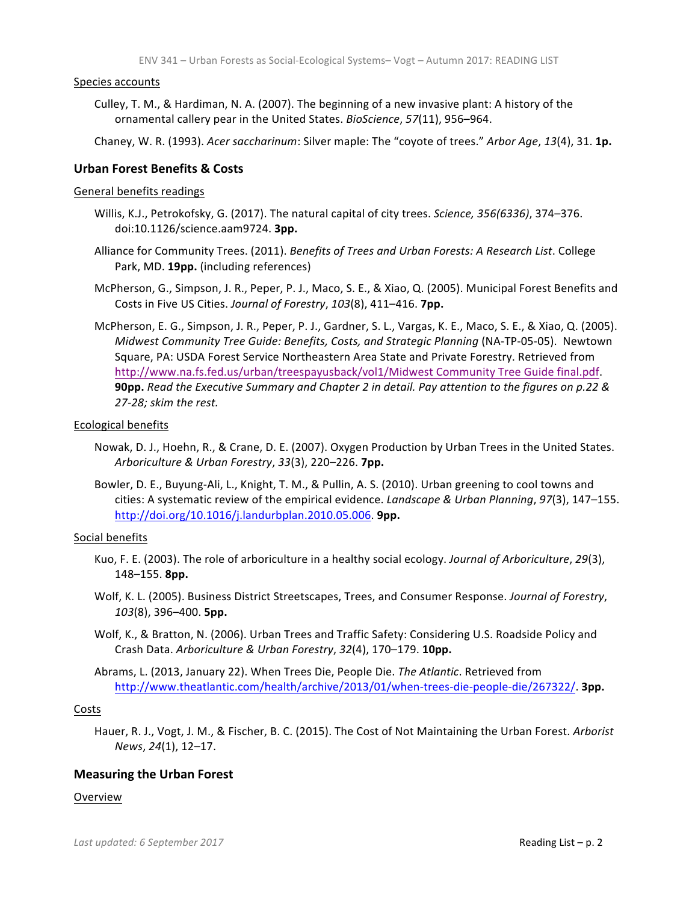#### Species accounts

- Culley, T. M., & Hardiman, N. A. (2007). The beginning of a new invasive plant: A history of the ornamental callery pear in the United States. BioScience, 57(11), 956-964.
- Chaney, W. R. (1993). *Acer saccharinum*: Silver maple: The "coyote of trees." *Arbor Age*, 13(4), 31. **1p.**

### **Urban Forest Benefits & Costs**

#### General benefits readings

- Willis, K.J., Petrokofsky, G. (2017). The natural capital of city trees. *Science, 356(6336)*, 374–376. doi:10.1126/science.aam9724. **3pp.**
- Alliance for Community Trees. (2011). *Benefits of Trees and Urban Forests: A Research List*. College Park, MD. 19pp. (including references)
- McPherson, G., Simpson, J. R., Peper, P. J., Maco, S. E., & Xiao, Q. (2005). Municipal Forest Benefits and Costs in Five US Cities. *Journal of Forestry*, 103(8), 411–416. **7pp.**
- McPherson, E. G., Simpson, J. R., Peper, P. J., Gardner, S. L., Vargas, K. E., Maco, S. E., & Xiao, Q. (2005). *Midwest Community Tree Guide: Benefits, Costs, and Strategic Planning* (NA-TP-05-05). Newtown Square, PA: USDA Forest Service Northeastern Area State and Private Forestry. Retrieved from http://www.na.fs.fed.us/urban/treespayusback/vol1/Midwest Community Tree Guide final.pdf. **90pp.** Read the Executive Summary and Chapter 2 in detail. Pay attention to the figures on p.22 & *27-28; skim the rest.*

#### Ecological benefits

- Nowak, D. J., Hoehn, R., & Crane, D. E. (2007). Oxygen Production by Urban Trees in the United States. *Arboriculture & Urban Forestry*, *33*(3), 220–226. **7pp.**
- Bowler, D. E., Buyung-Ali, L., Knight, T. M., & Pullin, A. S. (2010). Urban greening to cool towns and cities: A systematic review of the empirical evidence. *Landscape & Urban Planning*, *97*(3), 147–155. http://doi.org/10.1016/j.landurbplan.2010.05.006. **9pp.**

#### Social benefits

- Kuo, F. E. (2003). The role of arboriculture in a healthy social ecology. *Journal of Arboriculture*, 29(3), 148–155. **8pp.**
- Wolf, K. L. (2005). Business District Streetscapes, Trees, and Consumer Response. *Journal of Forestry*, *103*(8), 396–400. **5pp.**
- Wolf, K., & Bratton, N. (2006). Urban Trees and Traffic Safety: Considering U.S. Roadside Policy and Crash Data. Arboriculture & Urban Forestry, 32(4), 170–179. 10pp.
- Abrams, L. (2013, January 22). When Trees Die, People Die. The Atlantic. Retrieved from http://www.theatlantic.com/health/archive/2013/01/when-trees-die-people-die/267322/. **3pp.**

#### Costs

Hauer, R. J., Vogt, J. M., & Fischer, B. C. (2015). The Cost of Not Maintaining the Urban Forest. Arborist *News*, *24*(1), 12–17.

### **Measuring the Urban Forest**

#### Overview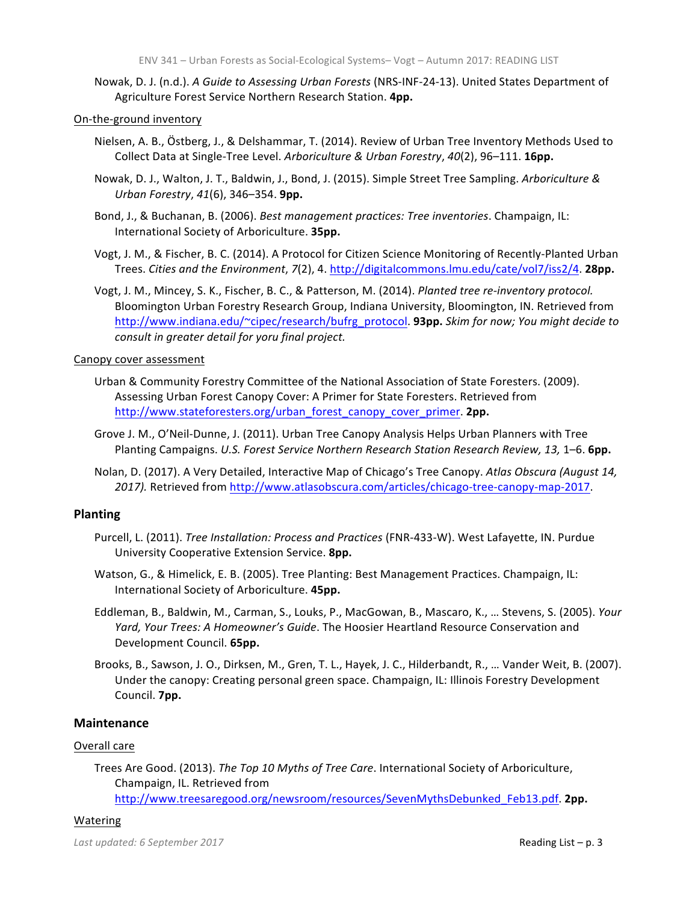Nowak, D. J. (n.d.). A Guide to Assessing Urban Forests (NRS-INF-24-13). United States Department of Agriculture Forest Service Northern Research Station. 4pp.

### On-the-ground inventory

- Nielsen, A. B., Östberg, J., & Delshammar, T. (2014). Review of Urban Tree Inventory Methods Used to Collect Data at Single-Tree Level. Arboriculture & Urban Forestry, 40(2), 96-111. 16pp.
- Nowak, D. J., Walton, J. T., Baldwin, J., Bond, J. (2015). Simple Street Tree Sampling. Arboriculture & *Urban Forestry*, *41*(6), 346–354. **9pp.**
- Bond, J., & Buchanan, B. (2006). *Best management practices: Tree inventories*. Champaign, IL: International Society of Arboriculture. **35pp.**
- Vogt, J. M., & Fischer, B. C. (2014). A Protocol for Citizen Science Monitoring of Recently-Planted Urban Trees. *Cities and the Environment*,  $7(2)$ , 4. http://digitalcommons.lmu.edu/cate/vol7/iss2/4. 28pp.
- Vogt, J. M., Mincey, S. K., Fischer, B. C., & Patterson, M. (2014). *Planted tree re-inventory protocol.* Bloomington Urban Forestry Research Group, Indiana University, Bloomington, IN. Retrieved from http://www.indiana.edu/~cipec/research/bufrg\_protocol. **93pp.** *Skim for now; You might decide to* consult in greater detail for yoru final project.

#### Canopy cover assessment

- Urban & Community Forestry Committee of the National Association of State Foresters. (2009). Assessing Urban Forest Canopy Cover: A Primer for State Foresters. Retrieved from http://www.stateforesters.org/urban\_forest\_canopy\_cover\_primer. **2pp.**
- Grove J. M., O'Neil-Dunne, J. (2011). Urban Tree Canopy Analysis Helps Urban Planners with Tree Planting Campaigns. U.S. Forest Service Northern Research Station Research Review, 13, 1–6. 6pp.
- Nolan, D. (2017). A Very Detailed, Interactive Map of Chicago's Tree Canopy. Atlas Obscura (August 14, 2017). Retrieved from http://www.atlasobscura.com/articles/chicago-tree-canopy-map-2017.

# **Planting**

- Purcell, L. (2011). *Tree Installation: Process and Practices* (FNR-433-W). West Lafayette, IN. Purdue University Cooperative Extension Service. 8pp.
- Watson, G., & Himelick, E. B. (2005). Tree Planting: Best Management Practices. Champaign, IL: International Society of Arboriculture. **45pp.**
- Eddleman, B., Baldwin, M., Carman, S., Louks, P., MacGowan, B., Mascaro, K., ... Stevens, S. (2005). *Your* Yard, Your Trees: A Homeowner's Guide. The Hoosier Heartland Resource Conservation and Development Council. **65pp.**
- Brooks, B., Sawson, J. O., Dirksen, M., Gren, T. L., Hayek, J. C., Hilderbandt, R., ... Vander Weit, B. (2007). Under the canopy: Creating personal green space. Champaign, IL: Illinois Forestry Development Council. **7pp.**

### **Maintenance**

### Overall care

Trees Are Good. (2013). *The Top 10 Myths of Tree Care*. International Society of Arboriculture, Champaign, IL. Retrieved from http://www.treesaregood.org/newsroom/resources/SevenMythsDebunked\_Feb13.pdf. **2pp.** 

#### Watering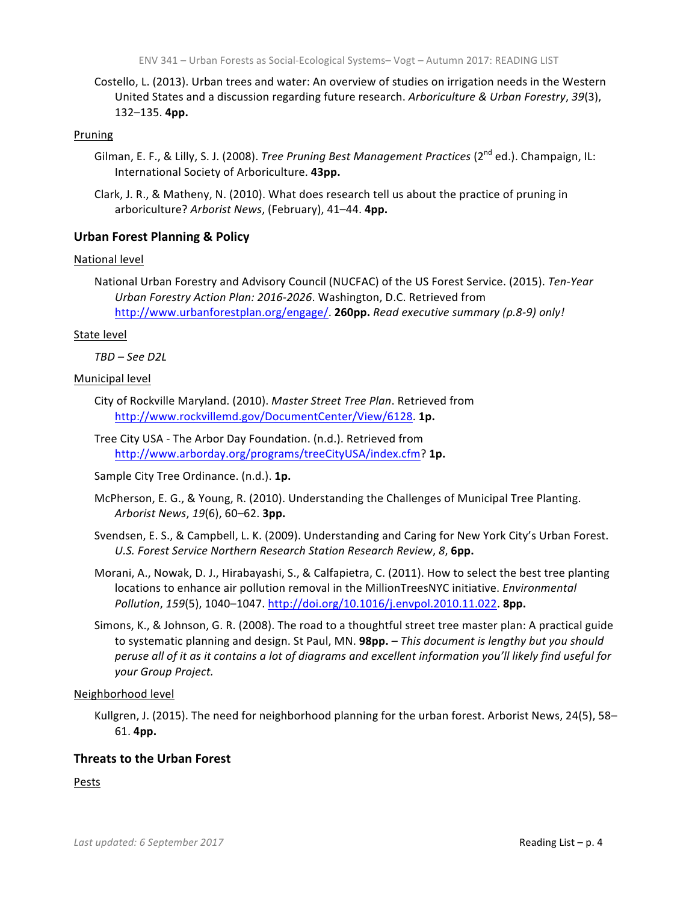Costello, L. (2013). Urban trees and water: An overview of studies on irrigation needs in the Western United States and a discussion regarding future research. Arboriculture & Urban Forestry, 39(3), 132–135. **4pp.**

#### Pruning

- Gilman, E. F., & Lilly, S. J. (2008). *Tree Pruning Best Management Practices* (2<sup>nd</sup> ed.). Champaign, IL: International Society of Arboriculture. 43pp.
- Clark, J. R., & Matheny, N. (2010). What does research tell us about the practice of pruning in arboriculture? Arborist News, (February), 41-44. 4pp.

### **Urban Forest Planning & Policy**

### **National level**

National Urban Forestry and Advisory Council (NUCFAC) of the US Forest Service. (2015). *Ten-Year Urban Forestry Action Plan: 2016-2026.* Washington, D.C. Retrieved from http://www.urbanforestplan.org/engage/. 260pp. Read executive summary (p.8-9) only!

#### State level

*TBD – See D2L* 

#### Municipal level

- City of Rockville Maryland. (2010). Master Street Tree Plan. Retrieved from http://www.rockvillemd.gov/DocumentCenter/View/6128. **1p.**
- Tree City USA The Arbor Day Foundation. (n.d.). Retrieved from http://www.arborday.org/programs/treeCityUSA/index.cfm? **1p.**
- Sample City Tree Ordinance. (n.d.). 1p.
- McPherson, E. G., & Young, R. (2010). Understanding the Challenges of Municipal Tree Planting. *Arborist News*, *19*(6), 60–62. **3pp.**
- Svendsen, E. S., & Campbell, L. K. (2009). Understanding and Caring for New York City's Urban Forest. U.S. Forest Service Northern Research Station Research Review, 8, 6pp.
- Morani, A., Nowak, D. J., Hirabayashi, S., & Calfapietra, C. (2011). How to select the best tree planting locations to enhance air pollution removal in the MillionTreesNYC initiative. *Environmental Pollution*, 159(5), 1040–1047. http://doi.org/10.1016/j.envpol.2010.11.022. **8pp.**
- Simons, K., & Johnson, G. R. (2008). The road to a thoughtful street tree master plan: A practical guide to systematic planning and design. St Paul, MN. **98pp.** – This document is lengthy but you should *peruse all of it as it contains a lot of diagrams and excellent information you'll likely find useful for your Group Project.*

#### Neighborhood level

Kullgren, J. (2015). The need for neighborhood planning for the urban forest. Arborist News, 24(5), 58– 61. **4pp.**

### **Threats to the Urban Forest**

Pests